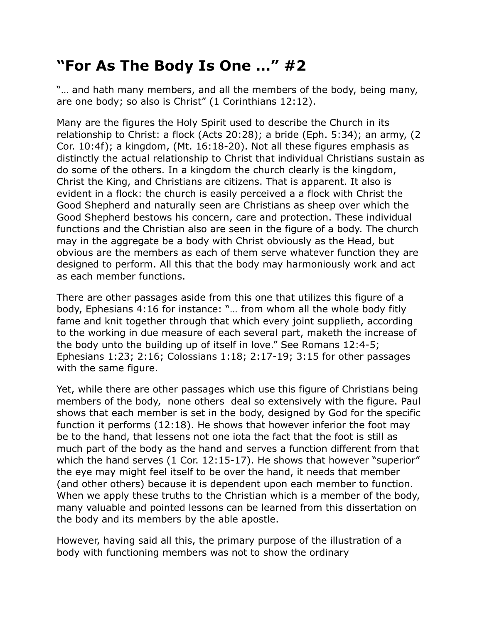## **"For As The Body Is One …" #2**

"... and hath many members, and all the members of the body, being many, are one body; so also is Christ" (1 Corinthians 12:12).

Many are the figures the Holy Spirit used to describe the Church in its relationship to Christ: a flock (Acts 20:28); a bride (Eph. 5:34); an army, (2 Cor. 10:4f); a kingdom, (Mt. 16:18-20). Not all these figures emphasis as distinctly the actual relationship to Christ that individual Christians sustain as do some of the others. In a kingdom the church clearly is the kingdom, Christ the King, and Christians are citizens. That is apparent. It also is evident in a flock: the church is easily perceived a a flock with Christ the Good Shepherd and naturally seen are Christians as sheep over which the Good Shepherd bestows his concern, care and protection. These individual functions and the Christian also are seen in the figure of a body. The church may in the aggregate be a body with Christ obviously as the Head, but obvious are the members as each of them serve whatever function they are designed to perform. All this that the body may harmoniously work and act as each member functions.

There are other passages aside from this one that utilizes this figure of a body, Ephesians 4:16 for instance: "… from whom all the whole body fitly fame and knit together through that which every joint supplieth, according to the working in due measure of each several part, maketh the increase of the body unto the building up of itself in love." See Romans 12:4-5; Ephesians 1:23; 2:16; Colossians 1:18; 2:17-19; 3:15 for other passages with the same figure.

Yet, while there are other passages which use this figure of Christians being members of the body, none others deal so extensively with the figure. Paul shows that each member is set in the body, designed by God for the specific function it performs (12:18). He shows that however inferior the foot may be to the hand, that lessens not one iota the fact that the foot is still as much part of the body as the hand and serves a function different from that which the hand serves (1 Cor. 12:15-17). He shows that however "superior" the eye may might feel itself to be over the hand, it needs that member (and other others) because it is dependent upon each member to function. When we apply these truths to the Christian which is a member of the body, many valuable and pointed lessons can be learned from this dissertation on the body and its members by the able apostle.

However, having said all this, the primary purpose of the illustration of a body with functioning members was not to show the ordinary